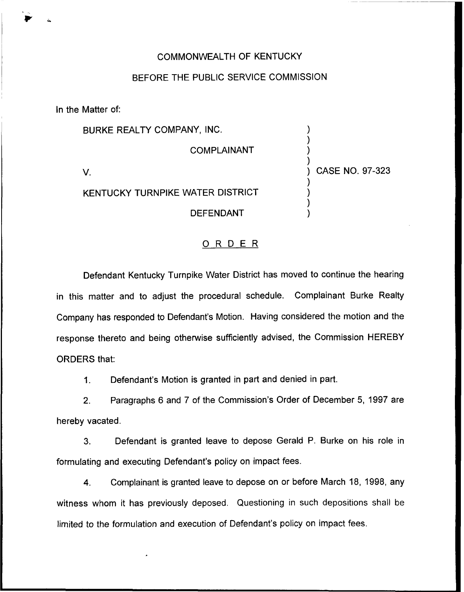## COMMONWEALTH OF KENTUCKY

## BEFORE THE PUBLIC SERVICE COMMISSION

In the Matter of:

BURKE REALTY COMPANY, INC. COMPLAINANT V. KENTUCKY TURNPIKE WATER DISTRICT DEFENDANT ) ) ) ) ) CASE NO. 97-323 ) ) ) )

## ORDER

Defendant Kentucky Turnpike Water District has moved to continue the hearing in this matter and to adjust the procedural schedule. Complainant Burke Realty Company has responded to Defendant's Motion. Having considered the motion and the response thereto and being otherwise sufficiently advised, the Commission HEREBY ORDERS that:

1. Defendant's Motion is granted in part and denied in part.

2. Paragraphs 6 and 7 of the Commission's Order of December 5, 1997 are hereby vacated.

3. Defendant is granted leave to depose Gerald P. Burke on his role in formulating and executing Defendant's policy on impact fees.

4. Complainant is granted leave to depose on or before March 18, 1998, any witness whom it has previously deposed. Questioning in such depositions shall be limited to the formulation and execution of Defendant's policy on impact fees.